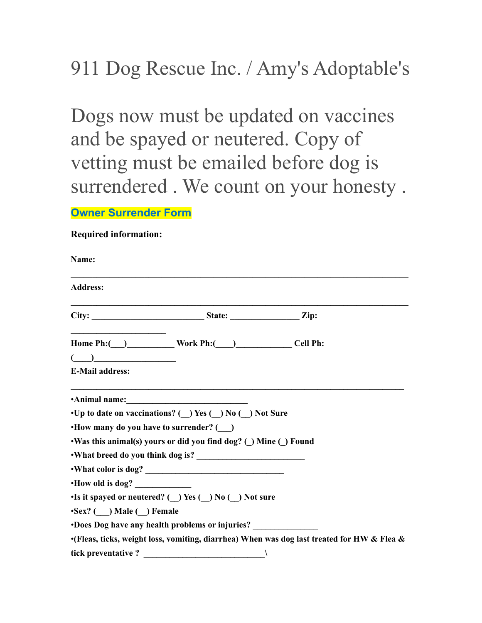## 911 Dog Rescue Inc. / Amy's Adoptable's

Dogs now must be updated on vaccines and be spayed or neutered. Copy of vetting must be emailed before dog is surrendered . We count on your honesty .

**Owner Surrender Form**

## **Required information:**

| Name:                                                                                      |                                                                                            |  |
|--------------------------------------------------------------------------------------------|--------------------------------------------------------------------------------------------|--|
| <b>Address:</b>                                                                            |                                                                                            |  |
|                                                                                            |                                                                                            |  |
| Home Ph: ( __ ) _____________ Work Ph: ( ___ ) _____________ Cell Ph:                      |                                                                                            |  |
| $\begin{array}{c} \begin{array}{c} \begin{array}{c} \end{array}\\ \end{array} \end{array}$ |                                                                                            |  |
| <b>E-Mail address:</b>                                                                     |                                                                                            |  |
| Animal name:                                                                               |                                                                                            |  |
| •Up to date on vaccinations? ( ) Yes ( ) No ( ) Not Sure                                   |                                                                                            |  |
| • How many do you have to surrender? ()                                                    |                                                                                            |  |
| •Was this animal(s) yours or did you find dog? (_) Mine (_) Found                          |                                                                                            |  |
|                                                                                            |                                                                                            |  |
|                                                                                            |                                                                                            |  |
| How old is dog?                                                                            |                                                                                            |  |
| •Is it spayed or neutered? ( $\bigcup$ Yes ( $\bigcup$ No ( $\bigcup$ Not sure             |                                                                                            |  |
| •Sex? ( ) Male ( ) Female                                                                  |                                                                                            |  |
| <b>•Does Dog have any health problems or injuries?</b>                                     |                                                                                            |  |
|                                                                                            | .(Fleas, ticks, weight loss, vomiting, diarrhea) When was dog last treated for HW & Flea & |  |
| tick preventative ? $\qquad \qquad$                                                        |                                                                                            |  |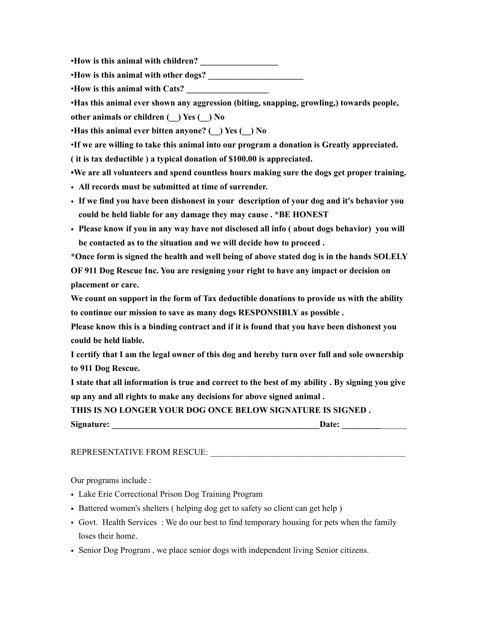•**How is this animal with children? \_\_\_\_\_\_\_\_\_\_\_\_\_\_\_\_\_\_**

•**How is this animal with other dogs? \_\_\_\_\_\_\_\_\_\_\_\_\_\_\_\_\_\_\_\_\_\_**

•**How is this animal with Cats? \_\_\_\_\_\_\_\_\_\_\_\_\_\_\_\_\_\_\_**

•**Has this animal ever shown any aggression (biting, snapping, growling,) towards people, other animals or children (\_\_) Yes (\_\_) No**

•**Has this animal ever bitten anyone? (\_\_) Yes (\_\_) No**

•**If we are willing to take this animal into our program a donation is Greatly appreciated.**

**( it is tax deductible ) a typical donation of \$100.00 is appreciated.** 

**•We are all volunteers and spend countless hours making sure the dogs get proper training.**

- **All records must be submitted at time of surrender.**
- **If we find you have been dishonest in your description of your dog and it's behavior you could be held liable for any damage they may cause . \*BE HONEST**
- **Please know if you in any way have not disclosed all info ( about dogs behavior) you will be contacted as to the situation and we will decide how to proceed .**

**\*Once form is signed the health and well being of above stated dog is in the hands SOLELY OF 911 Dog Rescue Inc. You are resigning your right to have any impact or decision on placement or care.** 

**We count on support in the form of Tax deductible donations to provide us with the ability to continue our mission to save as many dogs RESPONSIBLY as possible .** 

**Please know this is a binding contract and if it is found that you have been dishonest you could be held liable.** 

**I certify that I am the legal owner of this dog and hereby turn over full and sole ownership to 911 Dog Rescue.**

**I state that all information is true and correct to the best of my ability . By signing you give up any and all rights to make any decisions for above signed animal .**

**THIS IS NO LONGER YOUR DOG ONCE BELOW SIGNATURE IS SIGNED .** 

| Signature: | Jate: |
|------------|-------|
|            |       |

REPRESENTATIVE FROM RESCUE:

Our programs include :

- Lake Erie Correctional Prison Dog Training Program
- Battered women's shelters (helping dog get to safety so client can get help)
- Govt. Health Services : We do our best to find temporary housing for pets when the family loses their home.
- Senior Dog Program , we place senior dogs with independent living Senior citizens.